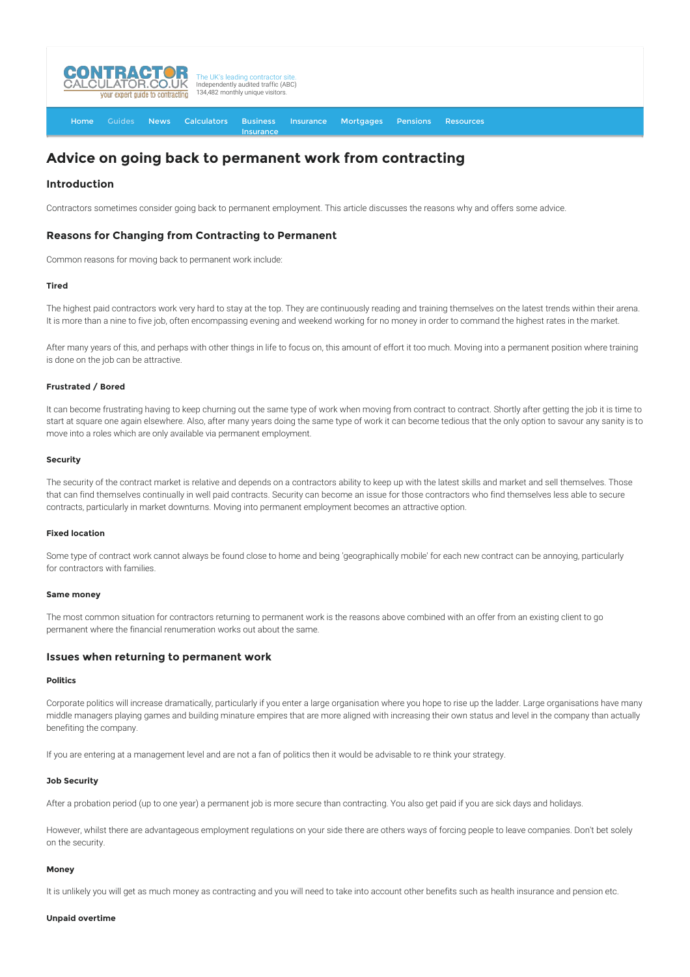

[Home](http://www.contractorcalculator.co.uk/) [Guides](http://www.contractorcalculator.co.uk/Articles.aspx) [News](http://www.contractorcalculator.co.uk/Contractor_News.aspx) [Calculators](http://www.contractorcalculator.co.uk/Calculators.aspx) Business **[Insurance](http://www.contractorcalculator.co.uk/Contractor_Insurances.aspx)** [Insurance](http://www.contractorcalculator.co.uk/Insurance.aspx) [Mortgages](http://www.contractorcalculator.co.uk/Contractor_Mortgages.aspx) [Pensions](http://www.contractorcalculator.co.uk/Contractor_Pensions.aspx) [Resources](http://www.contractorcalculator.co.uk/Contractor_Resources.aspx)

# **Advice on going back to permanent work from contracting**

# **Introduction**

Contractors sometimes consider going back to permanent employment. This article discusses the reasons why and offers some advice.

# **Reasons for Changing from Contracting to Permanent**

Common reasons for moving back to permanent work include:

## **Tired**

The highest paid contractors work very hard to stay at the top. They are continuously reading and training themselves on the latest trends within their arena. It is more than a nine to five job, often encompassing evening and weekend working for no money in order to command the highest rates in the market.

After many years of this, and perhaps with other things in life to focus on, this amount of effort it too much. Moving into a permanent position where training is done on the job can be attractive.

## **Frustrated / Bored**

It can become frustrating having to keep churning out the same type of work when moving from contract to contract. Shortly after getting the job it is time to start at square one again elsewhere. Also, after many years doing the same type of work it can become tedious that the only option to savour any sanity is to move into a roles which are only available via permanent employment.

#### **Security**

The security of the contract market is relative and depends on a contractors ability to keep up with the latest skills and market and sell themselves. Those that can find themselves continually in well paid contracts. Security can become an issue for those contractors who find themselves less able to secure contracts, particularly in market downturns. Moving into permanent employment becomes an attractive option.

## **Fixed location**

Some type of contract work cannot always be found close to home and being 'geographically mobile' for each new contract can be annoying, particularly for contractors with families.

#### **Same money**

The most common situation for contractors returning to permanent work is the reasons above combined with an offer from an existing client to go permanent where the financial renumeration works out about the same.

## **Issues when returning to permanent work**

## **Politics**

Corporate politics will increase dramatically, particularly if you enter a large organisation where you hope to rise up the ladder. Large organisations have many middle managers playing games and building minature empires that are more aligned with increasing their own status and level in the company than actually benefiting the company.

If you are entering at a management level and are not a fan of politics then it would be advisable to re think your strategy.

## **Job Security**

After a probation period (up to one year) a permanent job is more secure than contracting. You also get paid if you are sick days and holidays.

However, whilst there are advantageous employment regulations on your side there are others ways of forcing people to leave companies. Don't bet solely on the security.

#### **Money**

It is unlikely you will get as much money as contracting and you will need to take into account other benefits such as health insurance and pension etc.

#### **Unpaid overtime**